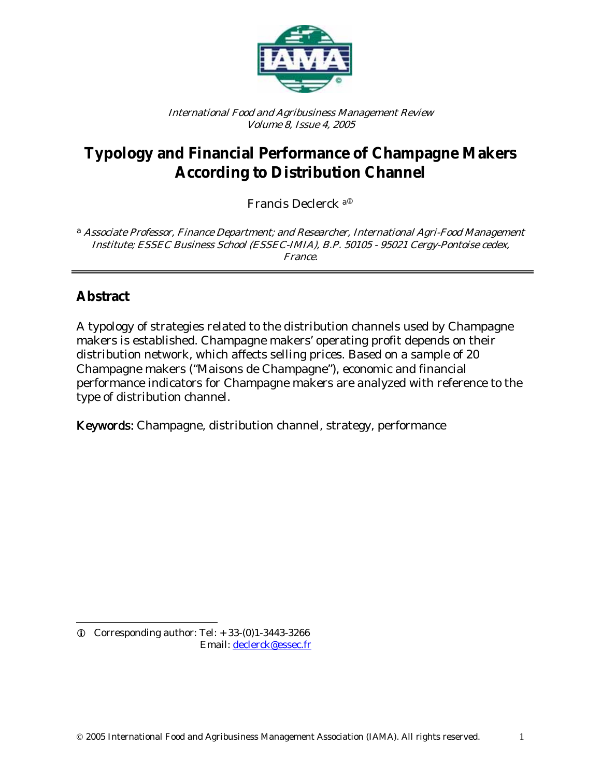

International Food and Agribusiness Management Review Volume 8, Issue 4, 2005

# **Typology and Financial Performance of Champagne Makers According to Distribution Channel**

Francis Declerck a<sup>®</sup>

<sup>a</sup> Associate Professor, Finance Department; and Researcher, International Agri-Food Management Institute; ESSEC Business School (ESSEC-IMIA), B.P. 50105 - 95021 Cergy-Pontoise cedex, France.

### **Abstract**

A typology of strategies related to the distribution channels used by Champagne makers is established. Champagne makers' operating profit depends on their distribution network, which affects selling prices. Based on a sample of 20 Champagne makers ("Maisons de Champagne"), economic and financial performance indicators for Champagne makers are analyzed with reference to the type of distribution channel.

Keywords: Champagne, distribution channel, strategy, performance

l  $Q$  Corresponding author: Tel:  $+33-(0)1-3443-3266$ Email: declerck@essec.fr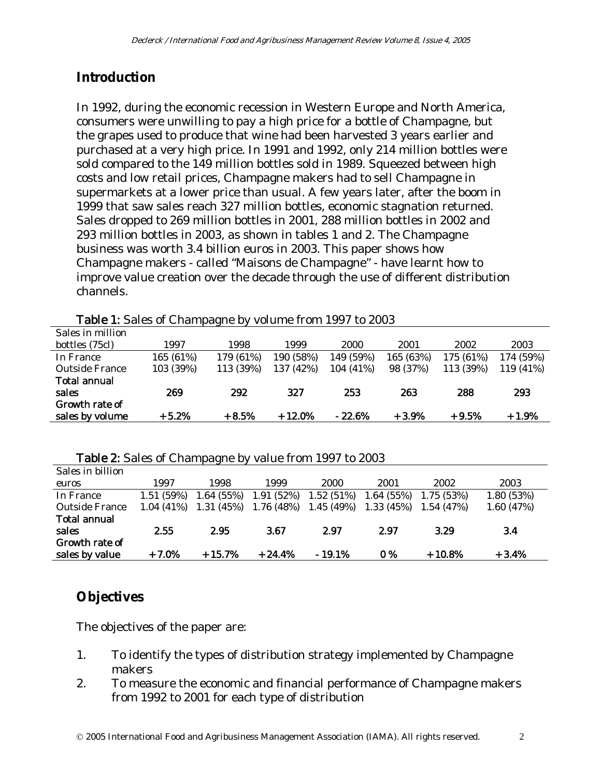### **Introduction**

In 1992, during the economic recession in Western Europe and North America, consumers were unwilling to pay a high price for a bottle of Champagne, but the grapes used to produce that wine had been harvested 3 years earlier and purchased at a very high price. In 1991 and 1992, only 214 million bottles were sold compared to the 149 million bottles sold in 1989. Squeezed between high costs and low retail prices, Champagne makers had to sell Champagne in supermarkets at a lower price than usual. A few years later, after the boom in 1999 that saw sales reach 327 million bottles, economic stagnation returned. Sales dropped to 269 million bottles in 2001, 288 million bottles in 2002 and 293 million bottles in 2003, as shown in tables 1 and 2. The Champagne business was worth 3.4 billion euros in 2003. This paper shows how Champagne makers - called "Maisons de Champagne" - have learnt how to improve value creation over the decade through the use of different distribution channels.

| 1997      | 1998      | 1999      | 2000      | 2001      | 2002      | 2003      |
|-----------|-----------|-----------|-----------|-----------|-----------|-----------|
| 165 (61%) | 179 (61%) | 190 (58%) | 149 (59%) | 165 (63%) | 175 (61%) | 174 (59%) |
| 103 (39%) | 113 (39%) | 137 (42%) | 104 (41%) | 98 (37%)  | 113 (39%) | 119 (41%) |
|           |           |           |           |           |           |           |
| 269       | 292       | 327       | 253       | 263       | 288       | 293       |
|           |           |           |           |           |           |           |
| $+5.2%$   | $+8.5%$   | $+12.0%$  | $-22.6%$  | $+3.9%$   | $+9.5%$   | $+1.9%$   |
|           |           |           |           |           |           |           |

Table 1: Sales of Champagne by volume from 1997 to 2003

#### Table 2: Sales of Champagne by value from 1997 to 2003

| Sales in billion |           |                           |                           |          |                           |          |           |
|------------------|-----------|---------------------------|---------------------------|----------|---------------------------|----------|-----------|
| euros            | 1997      | 1998                      | 1999                      | 2000     | 2001                      | 2002     | 2003      |
| In France        | 1.51(59%) | 1.64(55%)                 | $1.91(52\%)$ $1.52(51\%)$ |          | $1.64(55\%)$ $1.75(53\%)$ |          | 1.80(53%) |
| Outside France   |           | $1.04(41\%)$ $1.31(45\%)$ | $1.76(48\%)$ $1.45(49\%)$ |          | $1.33(45\%)$ 1.54 (47%)   |          | 1.60(47%) |
| Total annual     |           |                           |                           |          |                           |          |           |
| sales            | 2.55      | 2.95                      | 3.67                      | 2.97     | 2.97                      | 3.29     | 3.4       |
| Growth rate of   |           |                           |                           |          |                           |          |           |
| sales by value   | $+7.0%$   | $+15.7%$                  | $+24.4%$                  | $-19.1%$ | 0 %                       | $+10.8%$ | $+3.4%$   |

### **Objectives**

The objectives of the paper are:

- 1. To identify the types of distribution strategy implemented by Champagne makers
- 2. To measure the economic and financial performance of Champagne makers from 1992 to 2001 for each type of distribution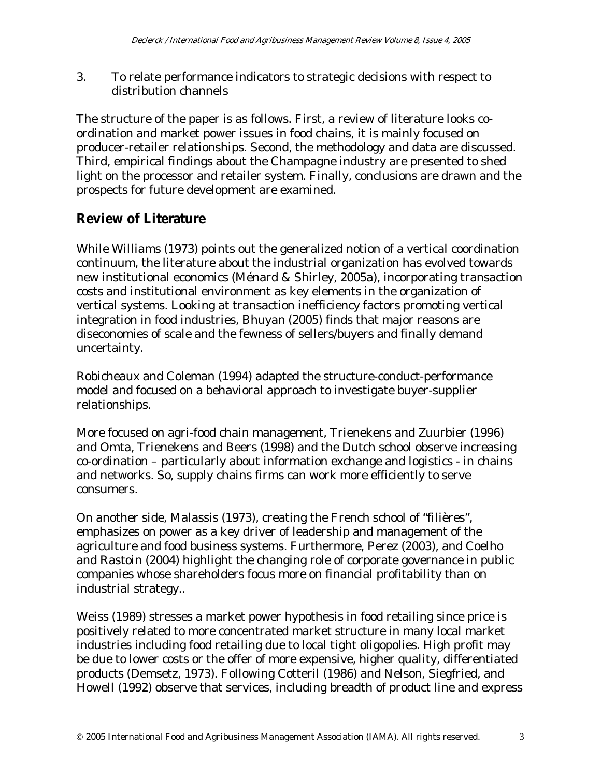3. To relate performance indicators to strategic decisions with respect to distribution channels

The structure of the paper is as follows. First, a review of literature looks coordination and market power issues in food chains, it is mainly focused on producer-retailer relationships. Second, the methodology and data are discussed. Third, empirical findings about the Champagne industry are presented to shed light on the processor and retailer system. Finally, conclusions are drawn and the prospects for future development are examined.

### **Review of Literature**

While Williams (1973) points out the generalized notion of a vertical coordination continuum, the literature about the industrial organization has evolved towards new institutional economics (Ménard & Shirley, 2005a), incorporating transaction costs and institutional environment as key elements in the organization of vertical systems. Looking at transaction inefficiency factors promoting vertical integration in food industries, Bhuyan (2005) finds that major reasons are diseconomies of scale and the fewness of sellers/buyers and finally demand uncertainty.

Robicheaux and Coleman (1994) adapted the structure-conduct-performance model and focused on a behavioral approach to investigate buyer-supplier relationships.

More focused on agri-food chain management, Trienekens and Zuurbier (1996) and Omta, Trienekens and Beers (1998) and the Dutch school observe increasing co-ordination – particularly about information exchange and logistics - in chains and networks. So, supply chains firms can work more efficiently to serve consumers.

On another side, Malassis (1973), creating the French school of "filières", emphasizes on power as a key driver of leadership and management of the agriculture and food business systems. Furthermore, Perez (2003), and Coelho and Rastoin (2004) highlight the changing role of corporate governance in public companies whose shareholders focus more on financial profitability than on industrial strategy..

Weiss (1989) stresses a market power hypothesis in food retailing since price is positively related to more concentrated market structure in many local market industries including food retailing due to local tight oligopolies. High profit may be due to lower costs or the offer of more expensive, higher quality, differentiated products (Demsetz, 1973). Following Cotteril (1986) and Nelson, Siegfried, and Howell (1992) observe that services, including breadth of product line and express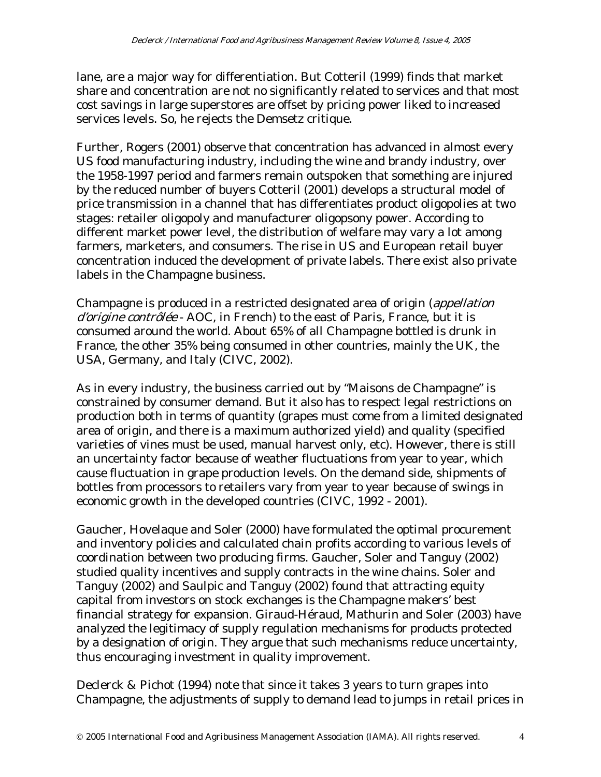lane, are a major way for differentiation. But Cotteril (1999) finds that market share and concentration are not no significantly related to services and that most cost savings in large superstores are offset by pricing power liked to increased services levels. So, he rejects the Demsetz critique.

Further, Rogers (2001) observe that concentration has advanced in almost every US food manufacturing industry, including the wine and brandy industry, over the 1958-1997 period and farmers remain outspoken that something are injured by the reduced number of buyers Cotteril (2001) develops a structural model of price transmission in a channel that has differentiates product oligopolies at two stages: retailer oligopoly and manufacturer oligopsony power. According to different market power level, the distribution of welfare may vary a lot among farmers, marketers, and consumers. The rise in US and European retail buyer concentration induced the development of private labels. There exist also private labels in the Champagne business.

Champagne is produced in a restricted designated area of origin (appellation d'origine contrôlée - AOC, in French) to the east of Paris, France, but it is consumed around the world. About 65% of all Champagne bottled is drunk in France, the other 35% being consumed in other countries, mainly the UK, the USA, Germany, and Italy (CIVC, 2002).

As in every industry, the business carried out by "Maisons de Champagne" is constrained by consumer demand. But it also has to respect legal restrictions on production both in terms of quantity (grapes must come from a limited designated area of origin, and there is a maximum authorized yield) and quality (specified varieties of vines must be used, manual harvest only, etc). However, there is still an uncertainty factor because of weather fluctuations from year to year, which cause fluctuation in grape production levels. On the demand side, shipments of bottles from processors to retailers vary from year to year because of swings in economic growth in the developed countries (CIVC, 1992 - 2001).

Gaucher, Hovelaque and Soler (2000) have formulated the optimal procurement and inventory policies and calculated chain profits according to various levels of coordination between two producing firms. Gaucher, Soler and Tanguy (2002) studied quality incentives and supply contracts in the wine chains. Soler and Tanguy (2002) and Saulpic and Tanguy (2002) found that attracting equity capital from investors on stock exchanges is the Champagne makers' best financial strategy for expansion. Giraud-Héraud, Mathurin and Soler (2003) have analyzed the legitimacy of supply regulation mechanisms for products protected by a designation of origin. They argue that such mechanisms reduce uncertainty, thus encouraging investment in quality improvement.

Declerck & Pichot (1994) note that since it takes 3 years to turn grapes into Champagne, the adjustments of supply to demand lead to jumps in retail prices in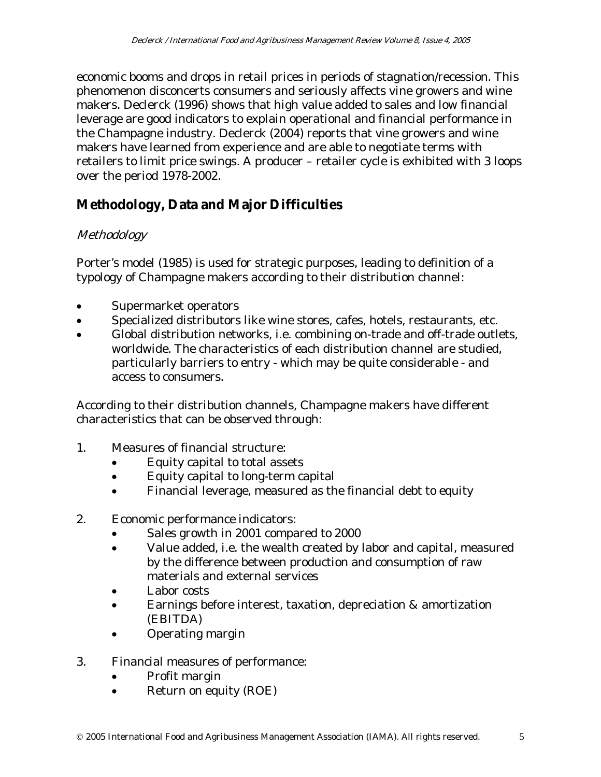economic booms and drops in retail prices in periods of stagnation/recession. This phenomenon disconcerts consumers and seriously affects vine growers and wine makers. Declerck (1996) shows that high value added to sales and low financial leverage are good indicators to explain operational and financial performance in the Champagne industry. Declerck (2004) reports that vine growers and wine makers have learned from experience and are able to negotiate terms with retailers to limit price swings. A producer – retailer cycle is exhibited with 3 loops over the period 1978-2002.

## **Methodology, Data and Major Difficulties**

### Methodology

Porter's model (1985) is used for strategic purposes, leading to definition of a typology of Champagne makers according to their distribution channel:

- Supermarket operators
- Specialized distributors like wine stores, cafes, hotels, restaurants, etc.
- Global distribution networks, i.e. combining on-trade and off-trade outlets, worldwide. The characteristics of each distribution channel are studied, particularly barriers to entry - which may be quite considerable - and access to consumers.

According to their distribution channels, Champagne makers have different characteristics that can be observed through:

- 1. Measures of financial structure:
	- Equity capital to total assets
	- Equity capital to long-term capital
	- Financial leverage, measured as the financial debt to equity
- 2. Economic performance indicators:
	- Sales growth in 2001 compared to 2000
	- Value added, i.e. the wealth created by labor and capital, measured by the difference between production and consumption of raw materials and external services
	- Labor costs
	- Earnings before interest, taxation, depreciation & amortization (EBITDA)
	- Operating margin
- 3. Financial measures of performance:
	- Profit margin
	- Return on equity (ROE)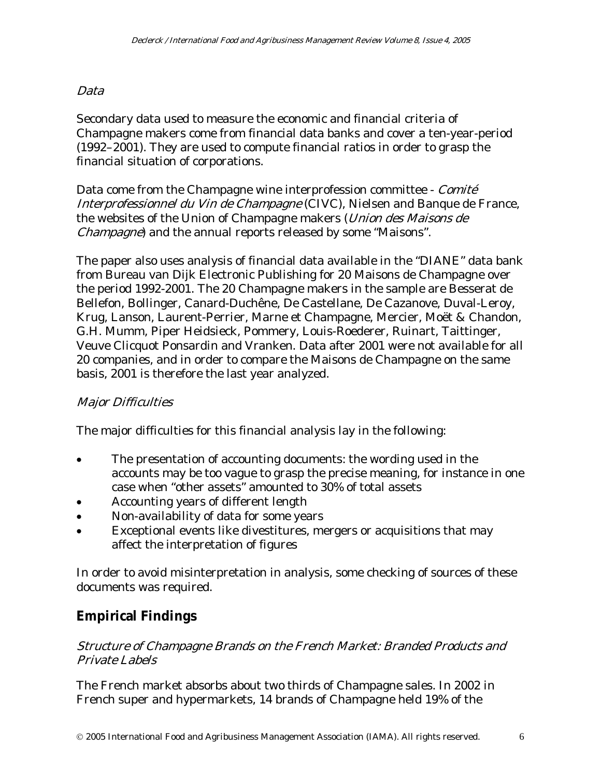#### Data

Secondary data used to measure the economic and financial criteria of Champagne makers come from financial data banks and cover a ten-year-period (1992–2001). They are used to compute financial ratios in order to grasp the financial situation of corporations.

Data come from the Champagne wine interprofession committee - Comité Interprofessionnel du Vin de Champagne (CIVC), Nielsen and Banque de France, the websites of the Union of Champagne makers (*Union des Maisons de* Champagne) and the annual reports released by some "Maisons".

The paper also uses analysis of financial data available in the "DIANE" data bank from Bureau van Dijk Electronic Publishing for 20 Maisons de Champagne over the period 1992-2001. The 20 Champagne makers in the sample are Besserat de Bellefon, Bollinger, Canard-Duchêne, De Castellane, De Cazanove, Duval-Leroy, Krug, Lanson, Laurent-Perrier, Marne et Champagne, Mercier, Moët & Chandon, G.H. Mumm, Piper Heidsieck, Pommery, Louis-Roederer, Ruinart, Taittinger, Veuve Clicquot Ponsardin and Vranken. Data after 2001 were not available for all 20 companies, and in order to compare the Maisons de Champagne on the same basis, 2001 is therefore the last year analyzed.

#### Major Difficulties

The major difficulties for this financial analysis lay in the following:

- The presentation of accounting documents: the wording used in the accounts may be too vague to grasp the precise meaning, for instance in one case when "other assets" amounted to 30% of total assets
- Accounting years of different length
- Non-availability of data for some years
- Exceptional events like divestitures, mergers or acquisitions that may affect the interpretation of figures

In order to avoid misinterpretation in analysis, some checking of sources of these documents was required.

### **Empirical Findings**

#### Structure of Champagne Brands on the French Market: Branded Products and Private Labels

The French market absorbs about two thirds of Champagne sales. In 2002 in French super and hypermarkets, 14 brands of Champagne held 19% of the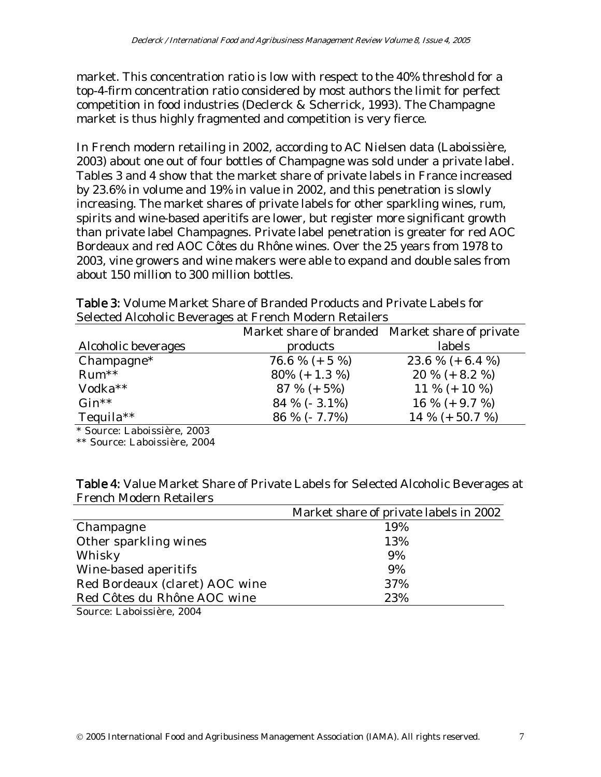market. This concentration ratio is low with respect to the 40% threshold for a top-4-firm concentration ratio considered by most authors the limit for perfect competition in food industries (Declerck & Scherrick, 1993). The Champagne market is thus highly fragmented and competition is very fierce.

In French modern retailing in 2002, according to AC Nielsen data (Laboissière, 2003) about one out of four bottles of Champagne was sold under a private label. Tables 3 and 4 show that the market share of private labels in France increased by 23.6% in volume and 19% in value in 2002, and this penetration is slowly increasing. The market shares of private labels for other sparkling wines, rum, spirits and wine-based aperitifs are lower, but register more significant growth than private label Champagnes. Private label penetration is greater for red AOC Bordeaux and red AOC Côtes du Rhône wines. Over the 25 years from 1978 to 2003, vine growers and wine makers were able to expand and double sales from about 150 million to 300 million bottles.

| Delected Theonone Developes at I Fenen modern rectancis |                                                 |                  |  |  |  |  |  |  |
|---------------------------------------------------------|-------------------------------------------------|------------------|--|--|--|--|--|--|
|                                                         | Market share of branded Market share of private |                  |  |  |  |  |  |  |
| Alcoholic beverages                                     | products                                        | labels           |  |  |  |  |  |  |
| $Champagne*$                                            | 76.6 % (+ 5 %)                                  | 23.6 % (+ 6.4 %) |  |  |  |  |  |  |
| $Run**$                                                 | $80\% (+ 1.3\%)$                                | $20\% (+ 8.2\%)$ |  |  |  |  |  |  |
| Vodka**                                                 | $87 \% (+ 5%)$                                  | 11 % $(+ 10 %)$  |  |  |  |  |  |  |
| $Gin**$                                                 | 84 % ( $-3.1\%$ )                               | 16 % (+ 9.7 %)   |  |  |  |  |  |  |
| Tequila $**$                                            | $86\%$ (- 7.7%)                                 | 14 % (+ 50.7 %)  |  |  |  |  |  |  |

Table 3: Volume Market Share of Branded Products and Private Labels for Selected Alcoholic Beverages at French Modern Retailers

\* Source: Laboissière, 2003

\*\* Source: Laboissière, 2004

| <b>Table 4:</b> Value Market Share of Private Labels for Selected Alcoholic Beverages at |
|------------------------------------------------------------------------------------------|
| <b>French Modern Retailers</b>                                                           |

|                                | Market share of private labels in 2002 |
|--------------------------------|----------------------------------------|
| Champagne                      | 19%                                    |
| Other sparkling wines          | 13%                                    |
| Whisky                         | 9%                                     |
| Wine-based aperitifs           | 9%                                     |
| Red Bordeaux (claret) AOC wine | 37%                                    |
| Red Côtes du Rhône AOC wine    | 23%                                    |
|                                |                                        |

Source: Laboissière, 2004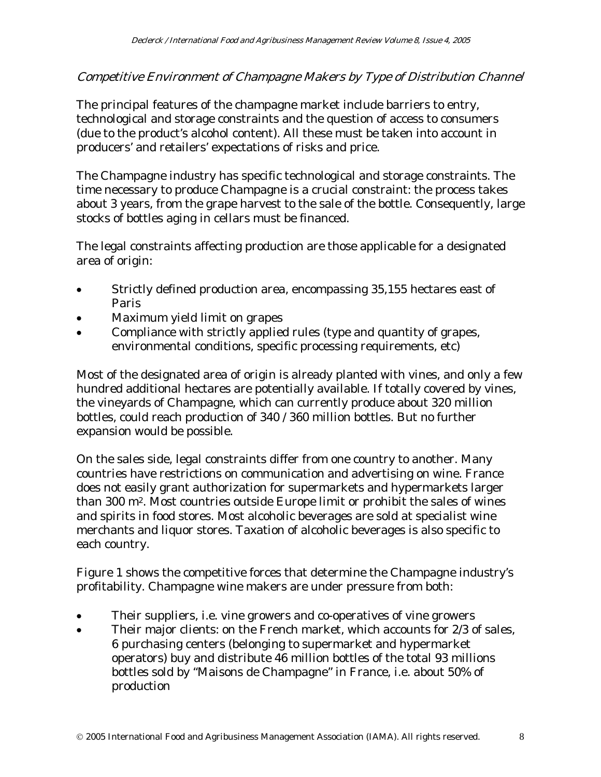#### Competitive Environment of Champagne Makers by Type of Distribution Channel

The principal features of the champagne market include barriers to entry, technological and storage constraints and the question of access to consumers (due to the product's alcohol content). All these must be taken into account in producers' and retailers' expectations of risks and price.

The Champagne industry has specific technological and storage constraints. The time necessary to produce Champagne is a crucial constraint: the process takes about 3 years, from the grape harvest to the sale of the bottle. Consequently, large stocks of bottles aging in cellars must be financed.

The legal constraints affecting production are those applicable for a designated area of origin:

- Strictly defined production area, encompassing 35,155 hectares east of Paris
- Maximum yield limit on grapes
- Compliance with strictly applied rules (type and quantity of grapes, environmental conditions, specific processing requirements, etc)

Most of the designated area of origin is already planted with vines, and only a few hundred additional hectares are potentially available. If totally covered by vines, the vineyards of Champagne, which can currently produce about 320 million bottles, could reach production of 340 / 360 million bottles. But no further expansion would be possible.

On the sales side, legal constraints differ from one country to another. Many countries have restrictions on communication and advertising on wine. France does not easily grant authorization for supermarkets and hypermarkets larger than 300 m2. Most countries outside Europe limit or prohibit the sales of wines and spirits in food stores. Most alcoholic beverages are sold at specialist wine merchants and liquor stores. Taxation of alcoholic beverages is also specific to each country.

Figure 1 shows the competitive forces that determine the Champagne industry's profitability. Champagne wine makers are under pressure from both:

- Their suppliers, i.e. vine growers and co-operatives of vine growers
- Their major clients: on the French market, which accounts for 2/3 of sales, 6 purchasing centers (belonging to supermarket and hypermarket operators) buy and distribute 46 million bottles of the total 93 millions bottles sold by "Maisons de Champagne" in France, i.e. about 50% of production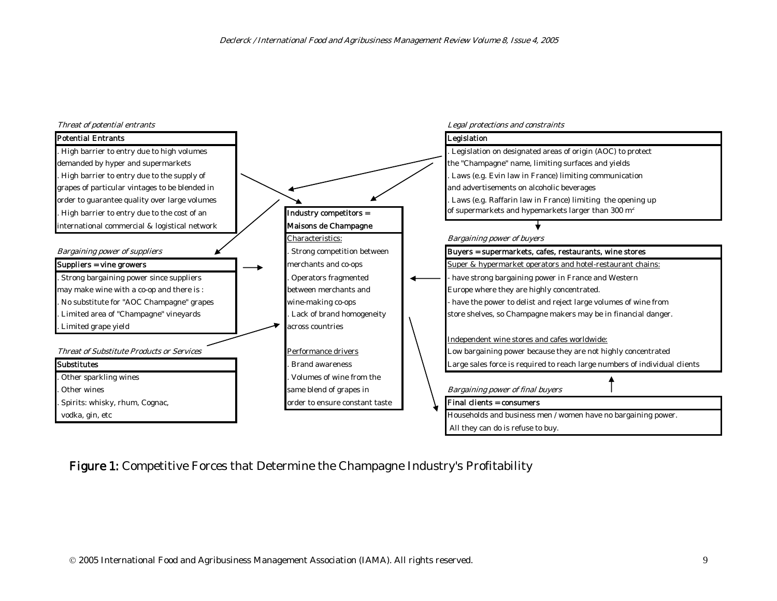

Figure 1: Competitive Forces that Determine the Champagne Industry's Profitability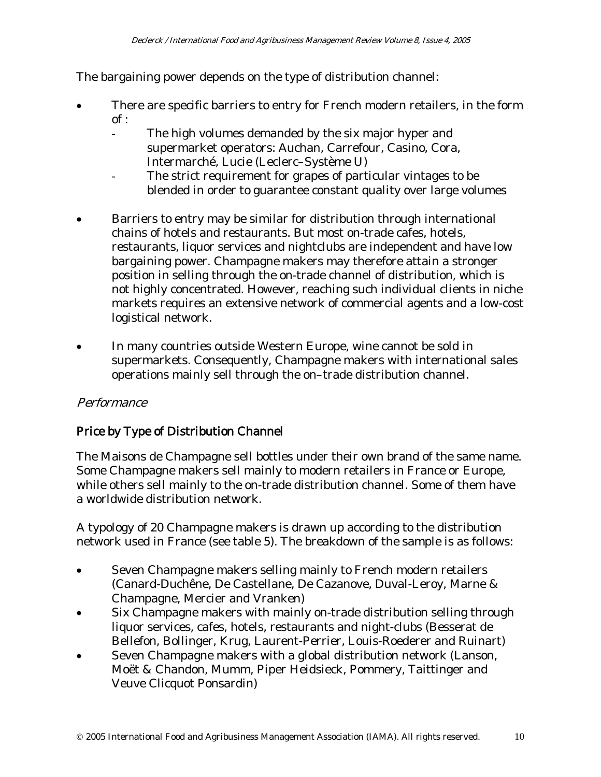The bargaining power depends on the type of distribution channel:

- There are specific barriers to entry for French modern retailers, in the form  $of:$ 
	- The high volumes demanded by the six major hyper and supermarket operators: Auchan, Carrefour, Casino, Cora, Intermarché, Lucie (Leclerc–Système U)
	- The strict requirement for grapes of particular vintages to be blended in order to guarantee constant quality over large volumes
- Barriers to entry may be similar for distribution through international chains of hotels and restaurants. But most on-trade cafes, hotels, restaurants, liquor services and nightclubs are independent and have low bargaining power. Champagne makers may therefore attain a stronger position in selling through the on-trade channel of distribution, which is not highly concentrated. However, reaching such individual clients in niche markets requires an extensive network of commercial agents and a low-cost logistical network.
- In many countries outside Western Europe, wine cannot be sold in supermarkets. Consequently, Champagne makers with international sales operations mainly sell through the on–trade distribution channel.

#### Performance

#### Price by Type of Distribution Channel

The Maisons de Champagne sell bottles under their own brand of the same name. Some Champagne makers sell mainly to modern retailers in France or Europe, while others sell mainly to the on-trade distribution channel. Some of them have a worldwide distribution network.

A typology of 20 Champagne makers is drawn up according to the distribution network used in France (see table 5). The breakdown of the sample is as follows:

- Seven Champagne makers selling mainly to French modern retailers (Canard-Duchêne, De Castellane, De Cazanove, Duval-Leroy, Marne & Champagne, Mercier and Vranken)
- Six Champagne makers with mainly on-trade distribution selling through liquor services, cafes, hotels, restaurants and night-clubs (Besserat de Bellefon, Bollinger, Krug, Laurent-Perrier, Louis-Roederer and Ruinart)
- Seven Champagne makers with a global distribution network (Lanson, Moët & Chandon, Mumm, Piper Heidsieck, Pommery, Taittinger and Veuve Clicquot Ponsardin)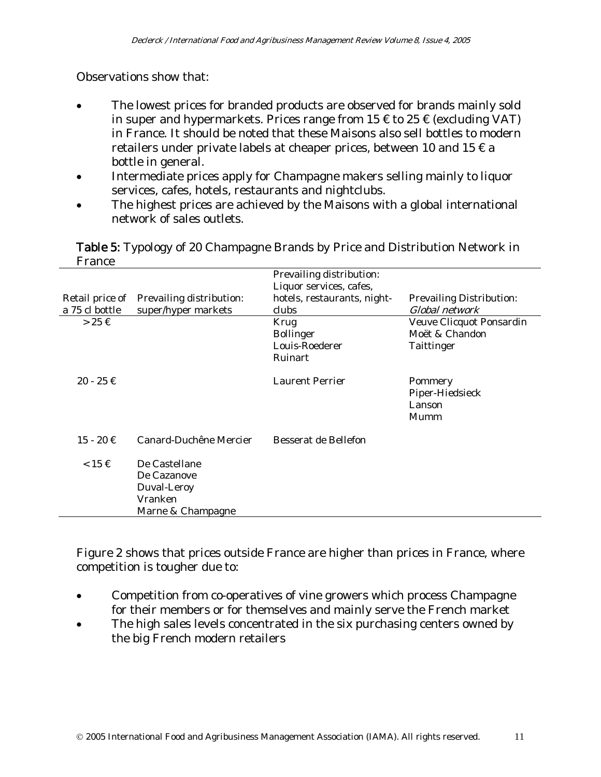Observations show that:

- The lowest prices for branded products are observed for brands mainly sold in super and hypermarkets. Prices range from  $15 \notin \text{to } 25 \notin (\text{excluding } \text{VAT})$ in France. It should be noted that these Maisons also sell bottles to modern retailers under private labels at cheaper prices, between 10 and 15  $\epsilon$  a bottle in general.
- Intermediate prices apply for Champagne makers selling mainly to liquor services, cafes, hotels, restaurants and nightclubs.
- The highest prices are achieved by the Maisons with a global international network of sales outlets.

Table 5: Typology of 20 Champagne Brands by Price and Distribution Network in France

|                     |                          | Prevailing distribution:    |                                 |
|---------------------|--------------------------|-----------------------------|---------------------------------|
|                     |                          | Liquor services, cafes,     |                                 |
| Retail price of     | Prevailing distribution: | hotels, restaurants, night- | <b>Prevailing Distribution:</b> |
| a 75 cl bottle      | super/hyper markets      | clubs                       | Global network                  |
| $>25 \in$           |                          | Krug                        | Veuve Clicquot Ponsardin        |
|                     |                          | <b>Bollinger</b>            | Moët & Chandon                  |
|                     |                          | Louis-Roederer              | Taittinger                      |
|                     |                          | Ruinart                     |                                 |
| $20 - 25 \notin$    |                          | <b>Laurent Perrier</b>      | Pommery                         |
|                     |                          |                             | Piper-Hiedsieck                 |
|                     |                          |                             | Lanson                          |
|                     |                          |                             | Mumm                            |
| $15 - 20 \in$       | Canard-Duchêne Mercier   | Besserat de Bellefon        |                                 |
| $< 15 \text{ } \in$ | De Castellane            |                             |                                 |
|                     | De Cazanove              |                             |                                 |
|                     | Duval-Leroy              |                             |                                 |
|                     | Vranken                  |                             |                                 |
|                     | Marne & Champagne        |                             |                                 |

Figure 2 shows that prices outside France are higher than prices in France, where competition is tougher due to:

- Competition from co-operatives of vine growers which process Champagne for their members or for themselves and mainly serve the French market
- The high sales levels concentrated in the six purchasing centers owned by the big French modern retailers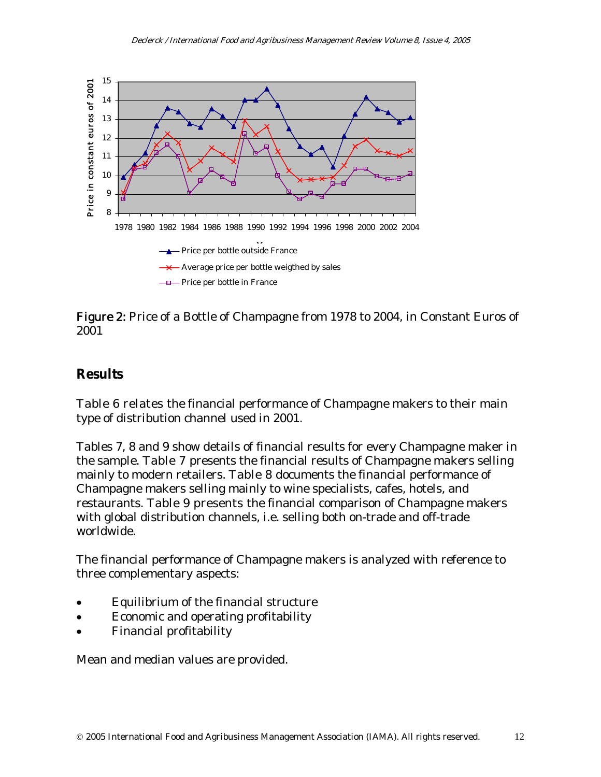

Figure 2: Price of a Bottle of Champagne from 1978 to 2004, in Constant Euros of 2001

#### **Results**

Table 6 relates the financial performance of Champagne makers to their main type of distribution channel used in 2001.

Tables 7, 8 and 9 show details of financial results for every Champagne maker in the sample. Table 7 presents the financial results of Champagne makers selling mainly to modern retailers. Table 8 documents the financial performance of Champagne makers selling mainly to wine specialists, cafes, hotels, and restaurants. Table 9 presents the financial comparison of Champagne makers with global distribution channels, i.e. selling both on-trade and off-trade worldwide.

The financial performance of Champagne makers is analyzed with reference to three complementary aspects:

- Equilibrium of the financial structure
- Economic and operating profitability
- Financial profitability

Mean and median values are provided.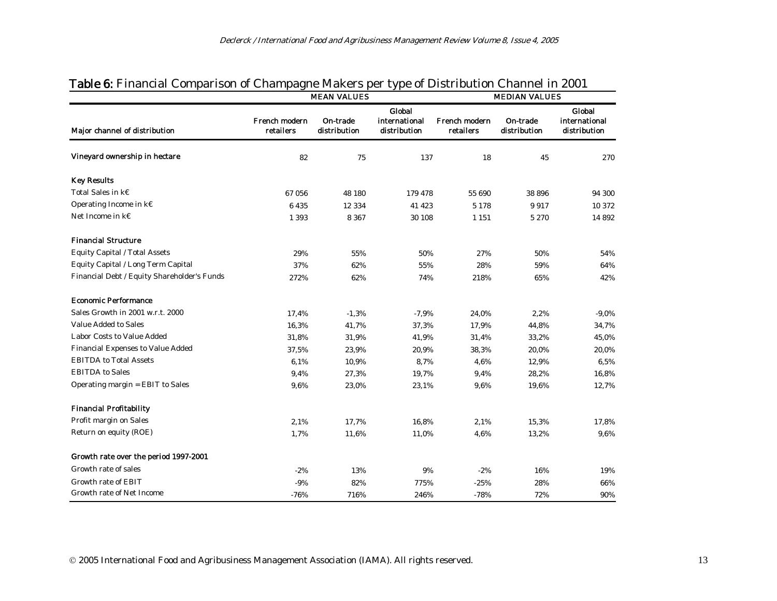|                                             |                            | <b>MEAN VALUES</b>       |                                         |                            | <b>MEDIAN VALUES</b>     |                                                |  |  |
|---------------------------------------------|----------------------------|--------------------------|-----------------------------------------|----------------------------|--------------------------|------------------------------------------------|--|--|
| Major channel of distribution               | French modern<br>retailers | On-trade<br>distribution | Global<br>international<br>distribution | French modern<br>retailers | On-trade<br>distribution | <b>Global</b><br>international<br>distribution |  |  |
| Vineyard ownership in hectare               | 82                         | 75                       | 137                                     | 18                         | 45                       | 270                                            |  |  |
| <b>Key Results</b>                          |                            |                          |                                         |                            |                          |                                                |  |  |
| Total Sales in k€                           | 67 056                     | 48 180                   | 179 478                                 | 55 690                     | 38 896                   | 94 300                                         |  |  |
| Operating Income in k€                      | 6435                       | 12 3 3 4                 | 41 423                                  | 5 1 7 8                    | 9917                     | 10 372                                         |  |  |
| Net Income in $k \in$                       | 1 3 9 3                    | 8 3 6 7                  | 30 108                                  | 1 1 5 1                    | 5 2 7 0                  | 14 892                                         |  |  |
| <b>Financial Structure</b>                  |                            |                          |                                         |                            |                          |                                                |  |  |
| <b>Equity Capital / Total Assets</b>        | 29%                        | 55%                      | 50%                                     | 27%                        | 50%                      | 54%                                            |  |  |
| Equity Capital / Long Term Capital          | 37%                        | 62%                      | 55%                                     | 28%                        | 59%                      | 64%                                            |  |  |
| Financial Debt / Equity Shareholder's Funds | 272%                       | 62%                      | 74%                                     | 218%                       | 65%                      | 42%                                            |  |  |
| <b>Economic Performance</b>                 |                            |                          |                                         |                            |                          |                                                |  |  |
| Sales Growth in 2001 w.r.t. 2000            | 17,4%                      | $-1,3%$                  | $-7,9%$                                 | 24,0%                      | 2,2%                     | $-9,0%$                                        |  |  |
| <b>Value Added to Sales</b>                 | 16,3%                      | 41,7%                    | 37,3%                                   | 17,9%                      | 44,8%                    | 34,7%                                          |  |  |
| Labor Costs to Value Added                  | 31,8%                      | 31,9%                    | 41,9%                                   | 31,4%                      | 33,2%                    | 45,0%                                          |  |  |
| Financial Expenses to Value Added           | 37,5%                      | 23,9%                    | 20.9%                                   | 38,3%                      | 20.0%                    | 20,0%                                          |  |  |
| <b>EBITDA to Total Assets</b>               | 6,1%                       | 10,9%                    | 8,7%                                    | 4,6%                       | 12,9%                    | 6,5%                                           |  |  |
| <b>EBITDA</b> to Sales                      | 9,4%                       | 27,3%                    | 19,7%                                   | 9,4%                       | 28,2%                    | 16,8%                                          |  |  |
| Operating margin = EBIT to Sales            | 9,6%                       | 23,0%                    | 23,1%                                   | 9,6%                       | 19,6%                    | 12,7%                                          |  |  |
| <b>Financial Profitability</b>              |                            |                          |                                         |                            |                          |                                                |  |  |
| Profit margin on Sales                      | 2,1%                       | 17,7%                    | 16,8%                                   | 2,1%                       | 15,3%                    | 17,8%                                          |  |  |
| Return on equity (ROE)                      | 1,7%                       | 11,6%                    | 11,0%                                   | 4,6%                       | 13,2%                    | 9,6%                                           |  |  |
| Growth rate over the period 1997-2001       |                            |                          |                                         |                            |                          |                                                |  |  |
| Growth rate of sales                        | $-2%$                      | 13%                      | 9%                                      | $-2%$                      | 16%                      | 19%                                            |  |  |
| <b>Growth rate of EBIT</b>                  | $-9%$                      | 82%                      | 775%                                    | $-25%$                     | 28%                      | 66%                                            |  |  |
| Growth rate of Net Income                   | $-76%$                     | 716%                     | 246%                                    | $-78%$                     | 72%                      | 90%                                            |  |  |

### Table 6: Financial Comparison of Champagne Makers per type of Distribution Channel in 2001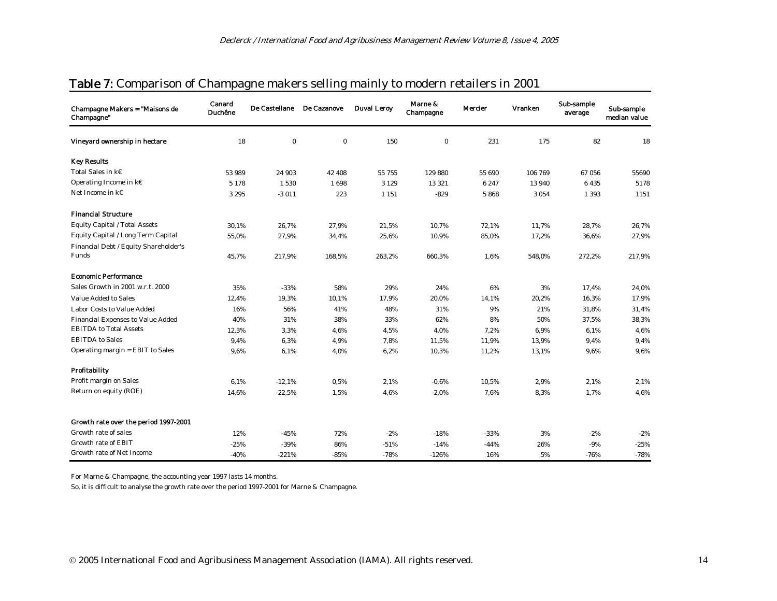| Champagne Makers = "Maisons de<br>Champagne"   | Canard<br><b>Duchêne</b> | De Castellane | De Cazanove | <b>Duval Leroy</b> | Marne &<br>Champagne | Mercier | <b>Vranken</b> | Sub-sample<br>average | Sub-sample<br>median value |
|------------------------------------------------|--------------------------|---------------|-------------|--------------------|----------------------|---------|----------------|-----------------------|----------------------------|
| Vineyard ownership in hectare                  | 18                       | $\bf{0}$      | $\bf{0}$    | 150                | $\mathbf{0}$         | 231     | 175            | 82                    | 18                         |
| <b>Key Results</b>                             |                          |               |             |                    |                      |         |                |                       |                            |
| Total Sales in $k \in$                         | 53 989                   | 24 903        | 42 408      | 55 755             | 129 880              | 55 690  | 106 769        | 67056                 | 55690                      |
| Operating Income in k€                         | 5 1 7 8                  | 1530          | 1698        | 3 1 2 9            | 13 3 21              | 6 2 4 7 | 13 940         | 6435                  | 5178                       |
| Net Income in $k \in$                          | 3 2 9 5                  | $-3011$       | 223         | 1 1 5 1            | $-829$               | 5868    | 3 0 5 4        | 1 3 9 3               | 1151                       |
| <b>Financial Structure</b>                     |                          |               |             |                    |                      |         |                |                       |                            |
| Equity Capital / Total Assets                  | 30,1%                    | 26,7%         | 27,9%       | 21,5%              | 10,7%                | 72,1%   | 11,7%          | 28,7%                 | 26,7%                      |
| Equity Capital / Long Term Capital             | 55,0%                    | 27,9%         | 34,4%       | 25,6%              | 10,9%                | 85,0%   | 17,2%          | 36,6%                 | 27,9%                      |
| Financial Debt / Equity Shareholder's<br>Funds | 45,7%                    | 217,9%        | 168,5%      | 263,2%             | 660,3%               | 1,6%    | 548,0%         | 272,2%                | 217,9%                     |
| <b>Economic Performance</b>                    |                          |               |             |                    |                      |         |                |                       |                            |
| Sales Growth in 2001 w.r.t. 2000               | 35%                      | $-33%$        | 58%         | 29%                | 24%                  | 6%      | 3%             | 17,4%                 | 24,0%                      |
| Value Added to Sales                           | 12,4%                    | 19,3%         | 10,1%       | 17,9%              | 20,0%                | 14,1%   | 20,2%          | 16,3%                 | 17,9%                      |
| <b>Labor Costs to Value Added</b>              | 16%                      | 56%           | 41%         | 48%                | 31%                  | 9%      | 21%            | 31,8%                 | 31,4%                      |
| Financial Expenses to Value Added              | 40%                      | 31%           | 38%         | 33%                | 62%                  | 8%      | 50%            | 37,5%                 | 38,3%                      |
| <b>EBITDA</b> to Total Assets                  | 12,3%                    | 3,3%          | 4,6%        | 4,5%               | 4,0%                 | 7,2%    | 6,9%           | 6,1%                  | 4,6%                       |
| <b>EBITDA</b> to Sales                         | 9.4%                     | 6,3%          | 4,9%        | 7,8%               | 11,5%                | 11,9%   | 13,9%          | 9,4%                  | 9,4%                       |
| Operating margin = EBIT to Sales               | 9,6%                     | 6,1%          | 4,0%        | 6,2%               | 10,3%                | 11,2%   | 13,1%          | 9,6%                  | 9,6%                       |
| Profitability                                  |                          |               |             |                    |                      |         |                |                       |                            |
| Profit margin on Sales                         | 6,1%                     | $-12,1%$      | 0,5%        | 2,1%               | $-0.6%$              | 10,5%   | 2,9%           | 2,1%                  | 2,1%                       |
| Return on equity (ROE)                         | 14,6%                    | $-22,5%$      | 1,5%        | 4,6%               | $-2,0\%$             | 7,6%    | 8,3%           | 1,7%                  | 4,6%                       |
| Growth rate over the period 1997-2001          |                          |               |             |                    |                      |         |                |                       |                            |
| Growth rate of sales                           | 12%                      | $-45%$        | 72%         | $-2%$              | $-18%$               | $-33%$  | 3%             | $-2%$                 | $-2%$                      |
| Growth rate of EBIT                            | $-25%$                   | $-39%$        | 86%         | $-51%$             | $-14%$               | $-44%$  | 26%            | $-9%$                 | $-25%$                     |
| Growth rate of Net Income                      | $-40%$                   | $-221%$       | $-85%$      | $-78%$             | $-126%$              | 16%     | 5%             | $-76%$                | $-78%$                     |

#### Table 7: Comparison of Champagne makers selling mainly to modern retailers in 2001

For Marne & Champagne, the accounting year 1997 lasts 14 months.

So, it is difficult to analyse the growth rate over the period 1997-2001 for Marne & Champagne.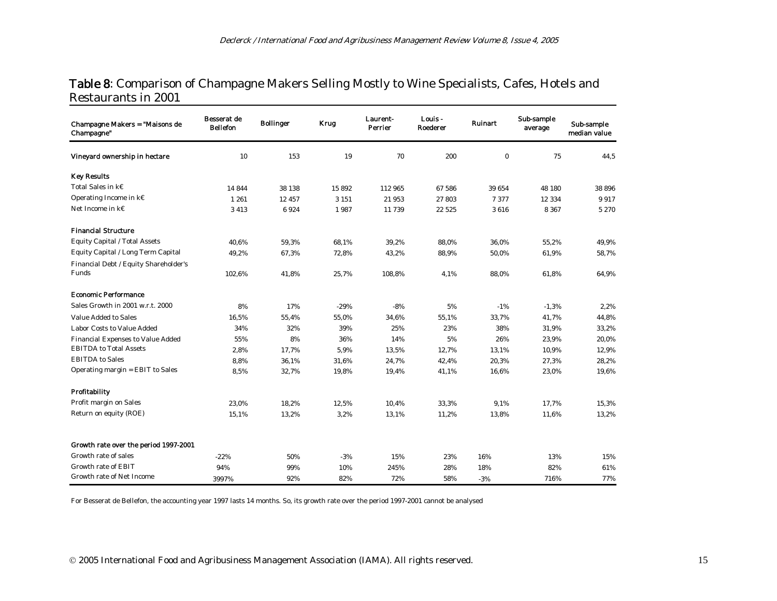#### Table 8: Comparison of Champagne Makers Selling Mostly to Wine Specialists, Cafes, Hotels and Restaurants in 2001

| Champagne Makers = "Maisons de<br>Champagne" | Besserat de<br><b>Bellefon</b> | <b>Bollinger</b> | <b>Krug</b> | Laurent-<br>Perrier | Louis -<br>Roederer | <b>Ruinart</b> | Sub-sample<br>average | Sub-sample<br>median value |
|----------------------------------------------|--------------------------------|------------------|-------------|---------------------|---------------------|----------------|-----------------------|----------------------------|
| Vineyard ownership in hectare                | 10                             | 153              | 19          | 70                  | 200                 | $\bf{0}$       | 75                    | 44,5                       |
| <b>Key Results</b>                           |                                |                  |             |                     |                     |                |                       |                            |
| Total Sales in k€                            | 14 844                         | 38 138           | 15892       | 112 965             | 67 586              | 39 654         | 48 180                | 38 896                     |
| Operating Income in $k \in$                  | 1 2 6 1                        | 12 457           | 3 1 5 1     | 21953               | 27803               | 7377           | 12 3 3 4              | 9917                       |
| Net Income in $k \in$                        | 3 4 1 3                        | 6924             | 1987        | 11 739              | 22 5 25             | 3616           | 8 3 6 7               | 5 2 7 0                    |
| <b>Financial Structure</b>                   |                                |                  |             |                     |                     |                |                       |                            |
| Equity Capital / Total Assets                | 40,6%                          | 59,3%            | 68,1%       | 39,2%               | 88,0%               | 36.0%          | 55,2%                 | 49,9%                      |
| Equity Capital / Long Term Capital           | 49,2%                          | 67,3%            | 72,8%       | 43,2%               | 88,9%               | 50,0%          | 61,9%                 | 58,7%                      |
| Financial Debt / Equity Shareholder's        |                                |                  |             |                     |                     |                |                       |                            |
| Funds                                        | 102,6%                         | 41,8%            | 25,7%       | 108.8%              | 4,1%                | 88,0%          | 61,8%                 | 64,9%                      |
| <b>Economic Performance</b>                  |                                |                  |             |                     |                     |                |                       |                            |
| Sales Growth in 2001 w.r.t. 2000             | 8%                             | 17%              | $-29%$      | $-8%$               | 5%                  | $-1%$          | $-1,3%$               | 2,2%                       |
| <b>Value Added to Sales</b>                  | 16,5%                          | 55,4%            | 55,0%       | 34,6%               | 55,1%               | 33,7%          | 41,7%                 | 44,8%                      |
| <b>Labor Costs to Value Added</b>            | 34%                            | 32%              | 39%         | 25%                 | 23%                 | 38%            | 31,9%                 | 33,2%                      |
| Financial Expenses to Value Added            | 55%                            | 8%               | 36%         | 14%                 | 5%                  | 26%            | 23,9%                 | 20,0%                      |
| <b>EBITDA</b> to Total Assets                | 2,8%                           | 17,7%            | 5,9%        | 13,5%               | 12,7%               | 13,1%          | 10,9%                 | 12,9%                      |
| <b>EBITDA</b> to Sales                       | 8,8%                           | 36,1%            | 31,6%       | 24,7%               | 42,4%               | 20,3%          | 27,3%                 | 28,2%                      |
| Operating margin = EBIT to Sales             | 8,5%                           | 32,7%            | 19,8%       | 19,4%               | 41,1%               | 16,6%          | 23,0%                 | 19,6%                      |
| Profitability                                |                                |                  |             |                     |                     |                |                       |                            |
| Profit margin on Sales                       | 23,0%                          | 18,2%            | 12,5%       | 10,4%               | 33,3%               | 9,1%           | 17,7%                 | 15,3%                      |
| Return on equity (ROE)                       | 15,1%                          | 13,2%            | 3,2%        | 13,1%               | 11,2%               | 13,8%          | 11,6%                 | 13,2%                      |
| Growth rate over the period 1997-2001        |                                |                  |             |                     |                     |                |                       |                            |
| Growth rate of sales                         | $-22%$                         | 50%              | $-3%$       | 15%                 | 23%                 | 16%            | 13%                   | 15%                        |
| <b>Growth rate of EBIT</b>                   | 94%                            | 99%              | 10%         | 245%                | 28%                 | 18%            | 82%                   | 61%                        |
| Growth rate of Net Income                    | 3997%                          | 92%              | 82%         | 72%                 | 58%                 | $-3%$          | 716%                  | 77%                        |

For Besserat de Bellefon, the accounting year 1997 lasts 14 months. So, its growth rate over the period 1997-2001 cannot be analysed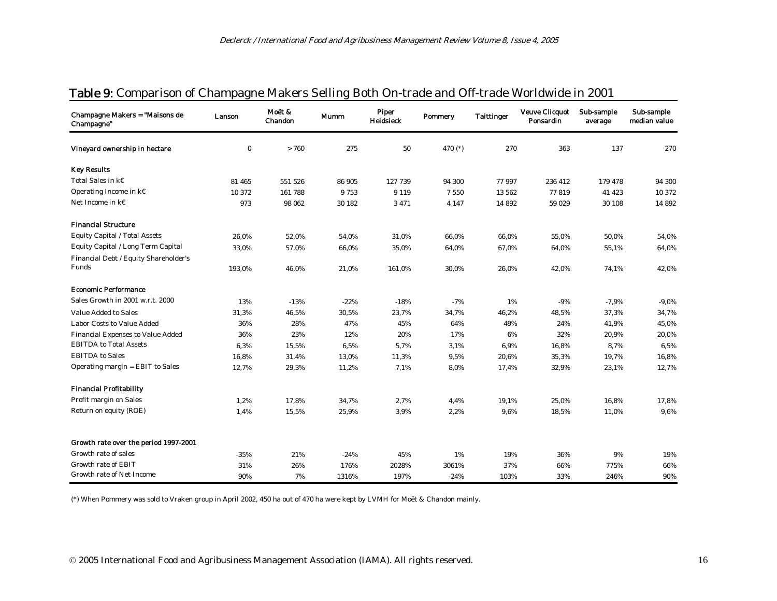| Champagne Makers = "Maisons de<br>Champagne" | Lanson   | Moët &<br>Chandon | Mumm   | Piper<br>Heidsieck | <b>Pommery</b> | <b>Taittinger</b> | <b>Veuve Clicquot</b><br>Ponsardin | Sub-sample<br>average | Sub-sample<br>median value |
|----------------------------------------------|----------|-------------------|--------|--------------------|----------------|-------------------|------------------------------------|-----------------------|----------------------------|
| Vineyard ownership in hectare                | $\bf{0}$ | > 760             | 275    | 50                 | 470 $(*)$      | 270               | 363                                | 137                   | 270                        |
| <b>Key Results</b>                           |          |                   |        |                    |                |                   |                                    |                       |                            |
| Total Sales in k€                            | 81 465   | 551 526           | 86 905 | 127 739            | 94 300         | 77997             | 236 412                            | 179 478               | 94 300                     |
| Operating Income in k€                       | 10 372   | 161788            | 9753   | 9 1 1 9            | 7550           | 13 5 6 2          | 77819                              | 41 423                | 10 372                     |
| Net Income in k€                             | 973      | 98 062            | 30 182 | 3471               | 4 1 4 7        | 14892             | 59 029                             | 30 108                | 14 8 9 2                   |
| <b>Financial Structure</b>                   |          |                   |        |                    |                |                   |                                    |                       |                            |
| Equity Capital / Total Assets                | 26,0%    | 52,0%             | 54,0%  | 31,0%              | 66,0%          | 66,0%             | 55,0%                              | 50,0%                 | 54,0%                      |
| Equity Capital / Long Term Capital           | 33,0%    | 57,0%             | 66,0%  | 35,0%              | 64,0%          | 67,0%             | 64,0%                              | 55,1%                 | 64,0%                      |
| Financial Debt / Equity Shareholder's        |          |                   |        |                    |                |                   |                                    |                       |                            |
| Funds                                        | 193,0%   | 46,0%             | 21,0%  | 161,0%             | 30,0%          | 26,0%             | 42,0%                              | 74,1%                 | 42,0%                      |
| <b>Economic Performance</b>                  |          |                   |        |                    |                |                   |                                    |                       |                            |
| Sales Growth in 2001 w.r.t. 2000             | 13%      | $-13%$            | $-22%$ | $-18%$             | $-7%$          | 1%                | $-9%$                              | $-7,9%$               | $-9,0\%$                   |
| <b>Value Added to Sales</b>                  | 31,3%    | 46,5%             | 30,5%  | 23,7%              | 34,7%          | 46,2%             | 48,5%                              | 37,3%                 | 34,7%                      |
| Labor Costs to Value Added                   | 36%      | 28%               | 47%    | 45%                | 64%            | 49%               | 24%                                | 41,9%                 | 45,0%                      |
| Financial Expenses to Value Added            | 36%      | 23%               | 12%    | 20%                | 17%            | 6%                | 32%                                | 20,9%                 | 20,0%                      |
| <b>EBITDA to Total Assets</b>                | 6,3%     | 15,5%             | 6,5%   | 5,7%               | 3,1%           | 6,9%              | 16,8%                              | 8,7%                  | 6,5%                       |
| <b>EBITDA</b> to Sales                       | 16,8%    | 31,4%             | 13,0%  | 11,3%              | 9,5%           | 20,6%             | 35,3%                              | 19,7%                 | 16,8%                      |
| Operating margin = EBIT to Sales             | 12,7%    | 29,3%             | 11,2%  | 7,1%               | 8,0%           | 17,4%             | 32,9%                              | 23,1%                 | 12,7%                      |
| <b>Financial Profitability</b>               |          |                   |        |                    |                |                   |                                    |                       |                            |
| Profit margin on Sales                       | 1,2%     | 17,8%             | 34,7%  | 2,7%               | 4,4%           | 19,1%             | 25,0%                              | 16,8%                 | 17,8%                      |
| Return on equity (ROE)                       | 1,4%     | 15,5%             | 25,9%  | 3,9%               | 2,2%           | 9,6%              | 18,5%                              | 11,0%                 | 9,6%                       |
| Growth rate over the period 1997-2001        |          |                   |        |                    |                |                   |                                    |                       |                            |
| Growth rate of sales                         | $-35%$   | 21%               | $-24%$ | 45%                | 1%             | 19%               | 36%                                | 9%                    | 19%                        |
| <b>Growth rate of EBIT</b>                   | 31%      | 26%               | 176%   | 2028%              | 3061%          | 37%               | 66%                                | 775%                  | 66%                        |
| Growth rate of Net Income                    | 90%      | 7%                | 1316%  | 197%               | $-24%$         | 103%              | 33%                                | 246%                  | 90%                        |

### Table 9: Comparison of Champagne Makers Selling Both On-trade and Off-trade Worldwide in 2001

(\*) When Pommery was sold to Vraken group in April 2002, 450 ha out of 470 ha were kept by LVMH for Moët & Chandon mainly.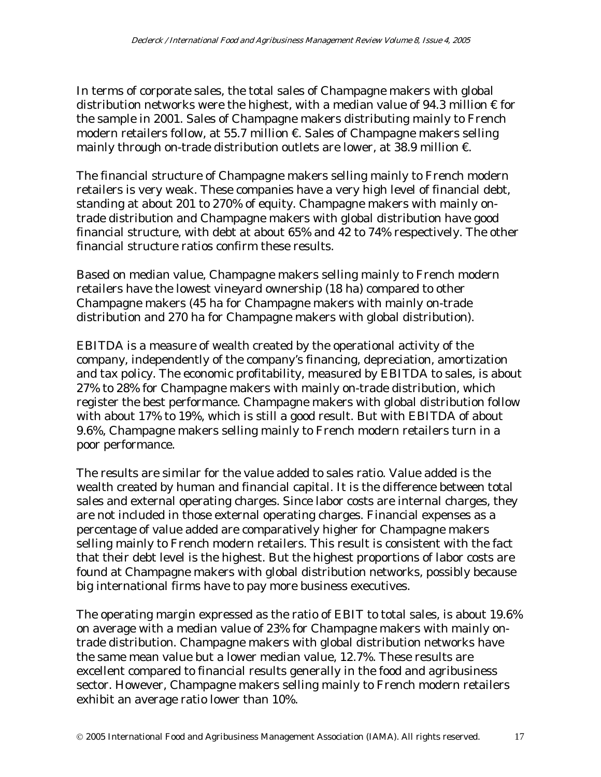In terms of corporate sales, the total sales of Champagne makers with global distribution networks were the highest, with a median value of 94.3 million  $\epsilon$  for the sample in 2001. Sales of Champagne makers distributing mainly to French modern retailers follow, at 55.7 million €. Sales of Champagne makers selling mainly through on-trade distribution outlets are lower, at 38.9 million  $\epsilon$ .

The financial structure of Champagne makers selling mainly to French modern retailers is very weak. These companies have a very high level of financial debt, standing at about 201 to 270% of equity. Champagne makers with mainly ontrade distribution and Champagne makers with global distribution have good financial structure, with debt at about 65% and 42 to 74% respectively. The other financial structure ratios confirm these results.

Based on median value, Champagne makers selling mainly to French modern retailers have the lowest vineyard ownership (18 ha) compared to other Champagne makers (45 ha for Champagne makers with mainly on-trade distribution and 270 ha for Champagne makers with global distribution).

EBITDA is a measure of wealth created by the operational activity of the company, independently of the company's financing, depreciation, amortization and tax policy. The economic profitability, measured by EBITDA to sales, is about 27% to 28% for Champagne makers with mainly on-trade distribution, which register the best performance. Champagne makers with global distribution follow with about 17% to 19%, which is still a good result. But with EBITDA of about 9.6%, Champagne makers selling mainly to French modern retailers turn in a poor performance.

The results are similar for the value added to sales ratio. Value added is the wealth created by human and financial capital. It is the difference between total sales and external operating charges. Since labor costs are internal charges, they are not included in those external operating charges. Financial expenses as a percentage of value added are comparatively higher for Champagne makers selling mainly to French modern retailers. This result is consistent with the fact that their debt level is the highest. But the highest proportions of labor costs are found at Champagne makers with global distribution networks, possibly because big international firms have to pay more business executives.

The operating margin expressed as the ratio of EBIT to total sales, is about 19.6% on average with a median value of 23% for Champagne makers with mainly ontrade distribution. Champagne makers with global distribution networks have the same mean value but a lower median value, 12.7%. These results are excellent compared to financial results generally in the food and agribusiness sector. However, Champagne makers selling mainly to French modern retailers exhibit an average ratio lower than 10%.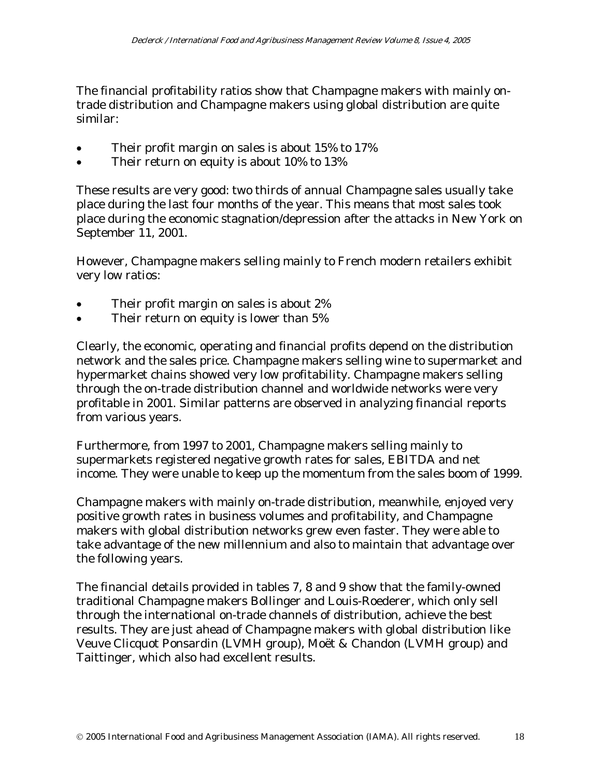The financial profitability ratios show that Champagne makers with mainly ontrade distribution and Champagne makers using global distribution are quite similar:

- Their profit margin on sales is about 15% to 17%
- Their return on equity is about 10% to 13%

These results are very good: two thirds of annual Champagne sales usually take place during the last four months of the year. This means that most sales took place during the economic stagnation/depression after the attacks in New York on September 11, 2001.

However, Champagne makers selling mainly to French modern retailers exhibit very low ratios:

- Their profit margin on sales is about 2%
- Their return on equity is lower than 5%

Clearly, the economic, operating and financial profits depend on the distribution network and the sales price. Champagne makers selling wine to supermarket and hypermarket chains showed very low profitability. Champagne makers selling through the on-trade distribution channel and worldwide networks were very profitable in 2001. Similar patterns are observed in analyzing financial reports from various years.

Furthermore, from 1997 to 2001, Champagne makers selling mainly to supermarkets registered negative growth rates for sales, EBITDA and net income. They were unable to keep up the momentum from the sales boom of 1999.

Champagne makers with mainly on-trade distribution, meanwhile, enjoyed very positive growth rates in business volumes and profitability, and Champagne makers with global distribution networks grew even faster. They were able to take advantage of the new millennium and also to maintain that advantage over the following years.

The financial details provided in tables 7, 8 and 9 show that the family-owned traditional Champagne makers Bollinger and Louis-Roederer, which only sell through the international on-trade channels of distribution, achieve the best results. They are just ahead of Champagne makers with global distribution like Veuve Clicquot Ponsardin (LVMH group), Moët & Chandon (LVMH group) and Taittinger, which also had excellent results.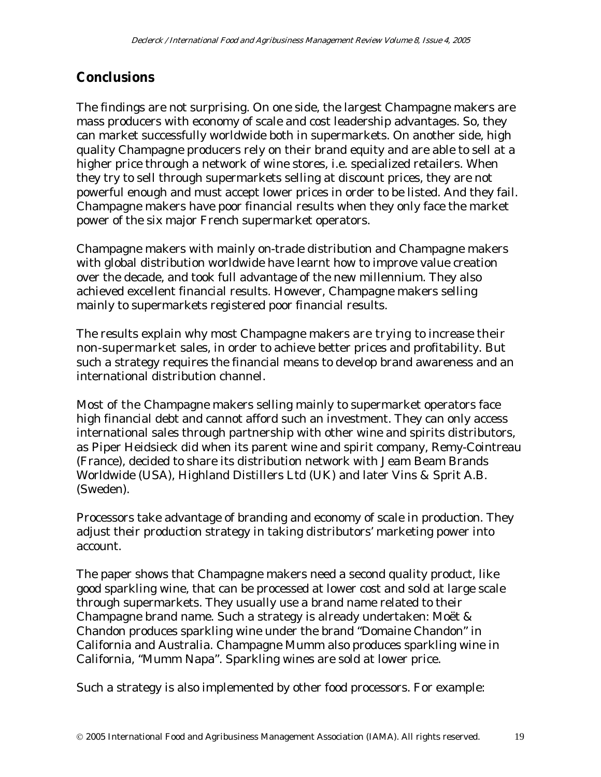### **Conclusions**

The findings are not surprising. On one side, the largest Champagne makers are mass producers with economy of scale and cost leadership advantages. So, they can market successfully worldwide both in supermarkets. On another side, high quality Champagne producers rely on their brand equity and are able to sell at a higher price through a network of wine stores, i.e. specialized retailers. When they try to sell through supermarkets selling at discount prices, they are not powerful enough and must accept lower prices in order to be listed. And they fail. Champagne makers have poor financial results when they only face the market power of the six major French supermarket operators.

Champagne makers with mainly on-trade distribution and Champagne makers with global distribution worldwide have learnt how to improve value creation over the decade, and took full advantage of the new millennium. They also achieved excellent financial results. However, Champagne makers selling mainly to supermarkets registered poor financial results.

The results explain why most Champagne makers are trying to increase their non-supermarket sales, in order to achieve better prices and profitability. But such a strategy requires the financial means to develop brand awareness and an international distribution channel.

Most of the Champagne makers selling mainly to supermarket operators face high financial debt and cannot afford such an investment. They can only access international sales through partnership with other wine and spirits distributors, as Piper Heidsieck did when its parent wine and spirit company, Remy-Cointreau (France), decided to share its distribution network with Jeam Beam Brands Worldwide (USA), Highland Distillers Ltd (UK) and later Vins & Sprit A.B. (Sweden).

Processors take advantage of branding and economy of scale in production. They adjust their production strategy in taking distributors' marketing power into account.

The paper shows that Champagne makers need a second quality product, like good sparkling wine, that can be processed at lower cost and sold at large scale through supermarkets. They usually use a brand name related to their Champagne brand name. Such a strategy is already undertaken: Moët & Chandon produces sparkling wine under the brand "Domaine Chandon" in California and Australia. Champagne Mumm also produces sparkling wine in California, "Mumm Napa". Sparkling wines are sold at lower price.

Such a strategy is also implemented by other food processors. For example: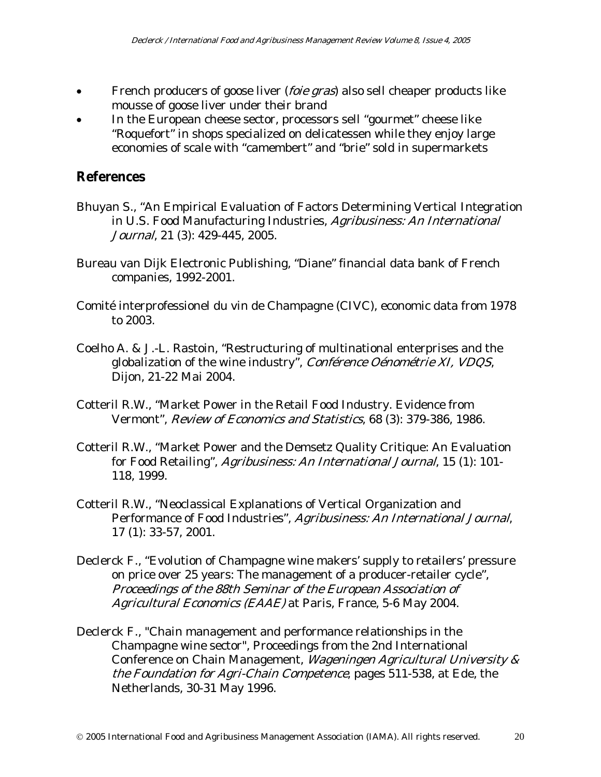- French producers of goose liver (*foie gras*) also sell cheaper products like mousse of goose liver under their brand
- In the European cheese sector, processors sell "gourmet" cheese like "Roquefort" in shops specialized on delicatessen while they enjoy large economies of scale with "camembert" and "brie" sold in supermarkets

### **References**

- Bhuyan S., "An Empirical Evaluation of Factors Determining Vertical Integration in U.S. Food Manufacturing Industries, Agribusiness: An International Journal, 21 (3): 429-445, 2005.
- Bureau van Dijk Electronic Publishing, "Diane" financial data bank of French companies, 1992-2001.
- Comité interprofessionel du vin de Champagne (CIVC), economic data from 1978 to 2003.
- Coelho A. & J.-L. Rastoin, "Restructuring of multinational enterprises and the globalization of the wine industry", Conférence Oénométrie XI, VDQS, Dijon, 21-22 Mai 2004.
- Cotteril R.W., "Market Power in the Retail Food Industry. Evidence from Vermont", Review of Economics and Statistics, 68 (3): 379-386, 1986.
- Cotteril R.W., "Market Power and the Demsetz Quality Critique: An Evaluation for Food Retailing", Agribusiness: An International Journal, 15 (1): 101-118, 1999.
- Cotteril R.W., "Neoclassical Explanations of Vertical Organization and Performance of Food Industries", Agribusiness: An International Journal, 17 (1): 33-57, 2001.
- Declerck F., "Evolution of Champagne wine makers' supply to retailers' pressure on price over 25 years: The management of a producer-retailer cycle", Proceedings of the 88th Seminar of the European Association of Agricultural Economics (EAAE) at Paris, France, 5-6 May 2004.
- Declerck F., "Chain management and performance relationships in the Champagne wine sector", Proceedings from the 2nd International Conference on Chain Management, Wageningen Agricultural University & the Foundation for Agri-Chain Competence, pages 511-538, at Ede, the Netherlands, 30-31 May 1996.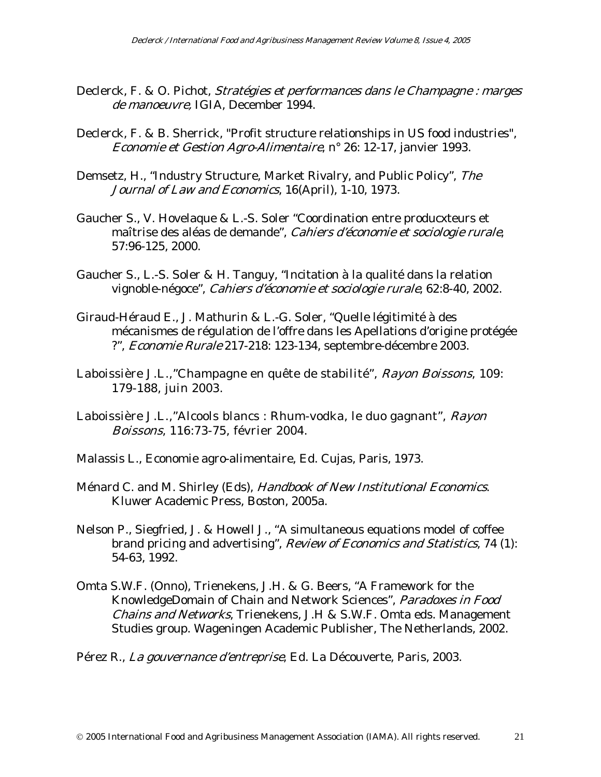- Declerck, F. & O. Pichot, Stratégies et performances dans le Champagne : marges de manoeuvre, IGIA, December 1994.
- Declerck, F. & B. Sherrick, "Profit structure relationships in US food industries", Economie et Gestion Agro-Alimentaire, n° 26: 12-17, janvier 1993.
- Demsetz, H., "Industry Structure, Market Rivalry, and Public Policy", The Journal of Law and Economics, 16(April), 1-10, 1973.
- Gaucher S., V. Hovelaque & L.-S. Soler "Coordination entre producxteurs et maîtrise des aléas de demande", Cahiers d'économie et sociologie rurale, 57:96-125, 2000.
- Gaucher S., L.-S. Soler & H. Tanguy, "Incitation à la qualité dans la relation vignoble-négoce", Cahiers d'économie et sociologie rurale, 62:8-40, 2002.
- Giraud-Héraud E., J. Mathurin & L.-G. Soler, "Quelle légitimité à des mécanismes de régulation de l'offre dans les Apellations d'origine protégée ?", Economie Rurale 217-218: 123-134, septembre-décembre 2003.
- Laboissière J.L.,"Champagne en quête de stabilité", Rayon Boissons, 109: 179-188, juin 2003.
- Laboissière J.L.,"Alcools blancs : Rhum-vodka, le duo gagnant", Rayon Boissons, 116:73-75, février 2004.
- Malassis L., Economie agro-alimentaire, Ed. Cujas, Paris, 1973.
- Ménard C. and M. Shirley (Eds), Handbook of New Institutional Economics. Kluwer Academic Press, Boston, 2005a.
- Nelson P., Siegfried, J. & Howell J., "A simultaneous equations model of coffee brand pricing and advertising", Review of Economics and Statistics, 74 (1): 54-63, 1992.
- Omta S.W.F. (Onno), Trienekens, J.H. & G. Beers, "A Framework for the KnowledgeDomain of Chain and Network Sciences", Paradoxes in Food Chains and Networks, Trienekens, J.H & S.W.F. Omta eds. Management Studies group. Wageningen Academic Publisher, The Netherlands, 2002.
- Pérez R., La gouvernance d'entreprise, Ed. La Découverte, Paris, 2003.